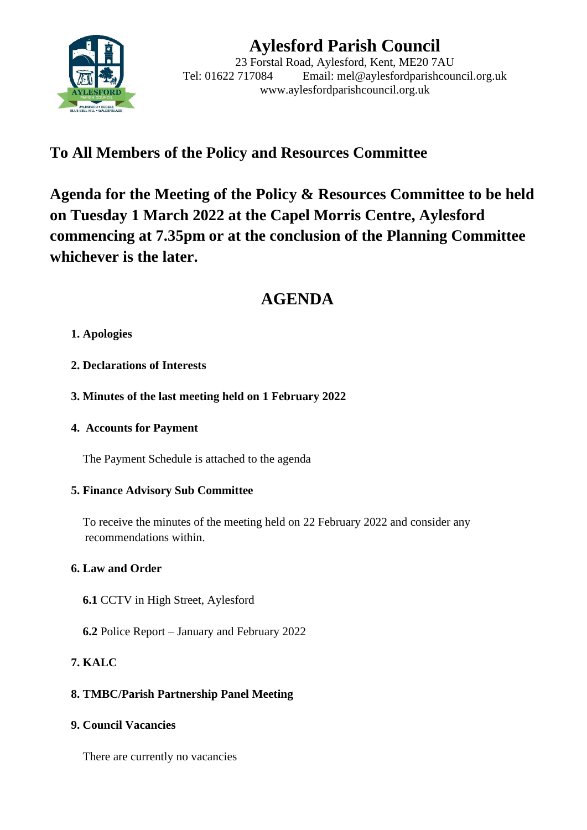

# **Aylesford Parish Council**

23 Forstal Road, Aylesford, Kent, ME20 7AU Tel: 01622 717084 Email: mel@aylesfordparishcouncil.org.uk www.aylesfordparishcouncil.org.uk

## **To All Members of the Policy and Resources Committee**

**Agenda for the Meeting of the Policy & Resources Committee to be held on Tuesday 1 March 2022 at the Capel Morris Centre, Aylesford commencing at 7.35pm or at the conclusion of the Planning Committee whichever is the later.**

## **AGENDA**

## **1. Apologies**

- **2. Declarations of Interests**
- **3. Minutes of the last meeting held on 1 February 2022**
- **4. Accounts for Payment**

The Payment Schedule is attached to the agenda

#### **5. Finance Advisory Sub Committee**

 To receive the minutes of the meeting held on 22 February 2022 and consider any recommendations within.

## **6. Law and Order**

- **6.1** CCTV in High Street, Aylesford
- **6.2** Police Report January and February 2022

## **7. KALC**

## **8. TMBC/Parish Partnership Panel Meeting**

**9. Council Vacancies**

There are currently no vacancies